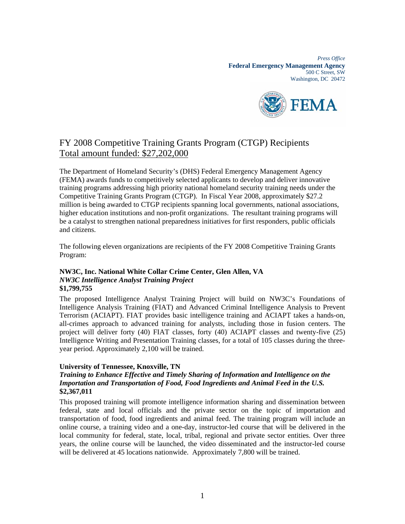*Press Office*  **Federal Emergency Management Agency**  500 C Street, SW Washington, DC 20472



# FY 2008 Competitive Training Grants Program (CTGP) Recipients Total amount funded: \$27,202,000

The Department of Homeland Security's (DHS) Federal Emergency Management Agency (FEMA) awards funds to competitively selected applicants to develop and deliver innovative training programs addressing high priority national homeland security training needs under the Competitive Training Grants Program (CTGP). In Fiscal Year 2008, approximately \$27.2 million is being awarded to CTGP recipients spanning local governments, national associations, higher education institutions and non-profit organizations. The resultant training programs will be a catalyst to strengthen national preparedness initiatives for first responders, public officials and citizens.

The following eleven organizations are recipients of the FY 2008 Competitive Training Grants Program:

#### **NW3C, Inc. National White Collar Crime Center, Glen Allen, VA**  *NW3C Intelligence Analyst Training Project*  **\$1,799,755**

The proposed Intelligence Analyst Training Project will build on NW3C's Foundations of Intelligence Analysis Training (FIAT) and Advanced Criminal Intelligence Analysis to Prevent Terrorism (ACIAPT). FIAT provides basic intelligence training and ACIAPT takes a hands-on, all-crimes approach to advanced training for analysts, including those in fusion centers. The project will deliver forty (40) FIAT classes, forty (40) ACIAPT classes and twenty-five (25) Intelligence Writing and Presentation Training classes, for a total of 105 classes during the threeyear period. Approximately 2,100 will be trained.

#### **University of Tennessee, Knoxville, TN**

### *Training to Enhance Effective and Timely Sharing of Information and Intelligence on the Importation and Transportation of Food, Food Ingredients and Animal Feed in the U.S.* **\$2,367,011**

This proposed training will promote intelligence information sharing and dissemination between federal, state and local officials and the private sector on the topic of importation and transportation of food, food ingredients and animal feed. The training program will include an online course, a training video and a one-day, instructor-led course that will be delivered in the local community for federal, state, local, tribal, regional and private sector entities. Over three years, the online course will be launched, the video disseminated and the instructor-led course will be delivered at 45 locations nationwide. Approximately 7,800 will be trained.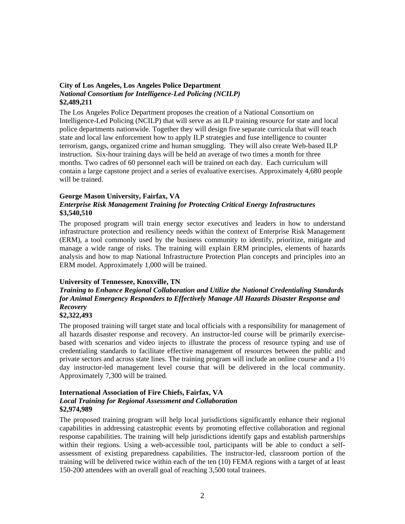#### **City of Los Angeles, Los Angeles Police Department**  *National Consortium for Intelligence-Led Policing (NCILP)*  **\$2,489,211**

The Los Angeles Police Department proposes the creation of a National Consortium on Intelligence-Led Policing (NCILP) that will serve as an ILP training resource for state and local police departments nationwide. Together they will design five separate curricula that will teach state and local law enforcement how to apply ILP strategies and fuse intelligence to counter terrorism, gangs, organized crime and human smuggling. They will also create Web-based ILP instruction. Six-hour training days will be held an average of two times a month for three months. Two cadres of 60 personnel each will be trained on each day. Each curriculum will contain a large capstone project and a series of evaluative exercises. Approximately 4,680 people will be trained.

### **George Mason University, Fairfax, VA**

## *Enterprise Risk Management Training for Protecting Critical Energy Infrastructures*  **\$3,540,510**

The proposed program will train energy sector executives and leaders in how to understand infrastructure protection and resiliency needs within the context of Enterprise Risk Management (ERM), a tool commonly used by the business community to identify, prioritize, mitigate and manage a wide range of risks. The training will explain ERM principles, elements of hazards analysis and how to map National Infrastructure Protection Plan concepts and principles into an ERM model. Approximately 1,000 will be trained.

#### **University of Tennessee, Knoxville, TN**

# *Training to Enhance Regional Collaboration and Utilize the National Credentialing Standards for Animal Emergency Responders to Effectively Manage All Hazards Disaster Response and Recovery*

#### **\$2,322,493**

The proposed training will target state and local officials with a responsibility for management of all hazards disaster response and recovery. An instructor-led course will be primarily exercisebased with scenarios and video injects to illustrate the process of resource typing and use of credentialing standards to facilitate effective management of resources between the public and private sectors and across state lines. The training program will include an online course and a 1½ day instructor-led management level course that will be delivered in the local community. Approximately 7,300 will be trained.

#### **International Association of Fire Chiefs, Fairfax, VA**  *Local Training for Regional Assessment and Collaboration*  **\$2,974,989**

The proposed training program will help local jurisdictions significantly enhance their regional capabilities in addressing catastrophic events by promoting effective collaboration and regional response capabilities. The training will help jurisdictions identify gaps and establish partnerships within their regions. Using a web-accessible tool, participants will be able to conduct a selfassessment of existing preparedness capabilities. The instructor-led, classroom portion of the training will be delivered twice within each of the ten (10) FEMA regions with a target of at least 150-200 attendees with an overall goal of reaching 3,500 total trainees.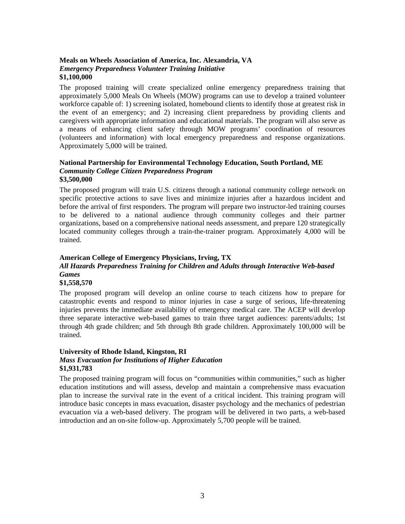#### **Meals on Wheels Association of America, Inc. Alexandria, VA**  *Emergency Preparedness Volunteer Training Initiative* **\$1,100,000**

The proposed training will create specialized online emergency preparedness training that approximately 5,000 Meals On Wheels (MOW) programs can use to develop a trained volunteer workforce capable of: 1) screening isolated, homebound clients to identify those at greatest risk in the event of an emergency; and 2) increasing client preparedness by providing clients and caregivers with appropriate information and educational materials. The program will also serve as a means of enhancing client safety through MOW programs' coordination of resources (volunteers and information) with local emergency preparedness and response organizations. Approximately 5,000 will be trained.

#### **National Partnership for Environmental Technology Education, South Portland, ME**  *Community College Citizen Preparedness Program*  **\$3,500,000**

The proposed program will train U.S. citizens through a national community college network on specific protective actions to save lives and minimize injuries after a hazardous incident and before the arrival of first responders. The program will prepare two instructor-led training courses to be delivered to a national audience through community colleges and their partner organizations, based on a comprehensive national needs assessment, and prepare 120 strategically located community colleges through a train-the-trainer program. Approximately 4,000 will be trained.

# **American College of Emergency Physicians, Irving, TX**

# *All Hazards Preparedness Training for Children and Adults through Interactive Web-based Games*

### **\$1,558,570**

The proposed program will develop an online course to teach citizens how to prepare for catastrophic events and respond to minor injuries in case a surge of serious, life-threatening injuries prevents the immediate availability of emergency medical care. The ACEP will develop three separate interactive web-based games to train three target audiences: parents/adults; 1st through 4th grade children; and 5th through 8th grade children. Approximately 100,000 will be trained.

#### **University of Rhode Island, Kingston, RI**  *Mass Evacuation for Institutions of Higher Education*  **\$1,931,783**

The proposed training program will focus on "communities within communities," such as higher education institutions and will assess, develop and maintain a comprehensive mass evacuation plan to increase the survival rate in the event of a critical incident. This training program will introduce basic concepts in mass evacuation, disaster psychology and the mechanics of pedestrian evacuation via a web-based delivery. The program will be delivered in two parts, a web-based introduction and an on-site follow-up. Approximately 5,700 people will be trained.